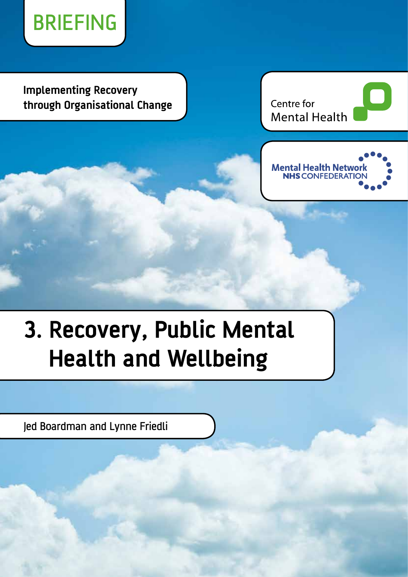

**Implementing Recovery through Organisational Change**

Centre for **Mental Health** 



# **3. Recovery, Public Mental Health and Wellbeing**

Jed Boardman and Lynne Friedli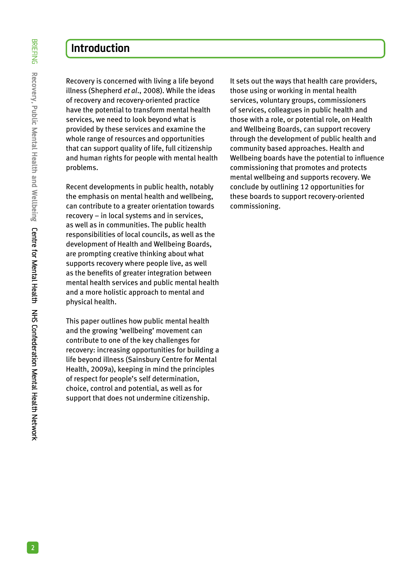# **Introduction**

Recovery is concerned with living a life beyond illness (Shepherd *et al*., 2008). While the ideas of recovery and recovery-oriented practice have the potential to transform mental health services, we need to look beyond what is provided by these services and examine the whole range of resources and opportunities that can support quality of life, full citizenship and human rights for people with mental health problems.

Recent developments in public health, notably the emphasis on mental health and wellbeing, can contribute to a greater orientation towards recovery – in local systems and in services, as well as in communities. The public health responsibilities of local councils, as well as the development of Health and Wellbeing Boards, are prompting creative thinking about what supports recovery where people live, as well as the benefits of greater integration between mental health services and public mental health and a more holistic approach to mental and physical health.

This paper outlines how public mental health and the growing 'wellbeing' movement can contribute to one of the key challenges for recovery: increasing opportunities for building a life beyond illness (Sainsbury Centre for Mental Health, 2009a), keeping in mind the principles of respect for people's self determination, choice, control and potential, as well as for support that does not undermine citizenship.

It sets out the ways that health care providers, those using or working in mental health services, voluntary groups, commissioners of services, colleagues in public health and those with a role, or potential role, on Health and Wellbeing Boards, can support recovery through the development of public health and community based approaches. Health and Wellbeing boards have the potential to influence commissioning that promotes and protects mental wellbeing and supports recovery. We conclude by outlining 12 opportunities for these boards to support recovery-oriented commissioning.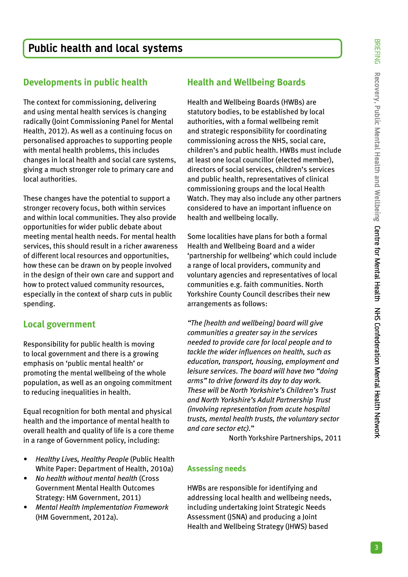## **Developments in public health**

The context for commissioning, delivering and using mental health services is changing radically (Joint Commissioning Panel for Mental Health, 2012). As well as a continuing focus on personalised approaches to supporting people with mental health problems, this includes changes in local health and social care systems, giving a much stronger role to primary care and local authorities.

These changes have the potential to support a stronger recovery focus, both within services and within local communities. They also provide opportunities for wider public debate about meeting mental health needs. For mental health services, this should result in a richer awareness of different local resources and opportunities, how these can be drawn on by people involved in the design of their own care and support and how to protect valued community resources, especially in the context of sharp cuts in public spending.

## **Local government**

Responsibility for public health is moving to local government and there is a growing emphasis on 'public mental health' or promoting the mental wellbeing of the whole population, as well as an ongoing commitment to reducing inequalities in health.

Equal recognition for both mental and physical health and the importance of mental health to overall health and quality of life is a core theme in a range of Government policy, including:

- *Healthy Lives, Healthy People* (Public Health) White Paper: Department of Health, 2010a)
- *• No health without mental health* (Cross Government Mental Health Outcomes Strategy: HM Government, 2011)
- *• Mental Health Implementation Framework* (HM Government, 2012a).

## **Health and Wellbeing Boards**

Health and Wellbeing Boards (HWBs) are statutory bodies, to be established by local authorities, with a formal wellbeing remit and strategic responsibility for coordinating commissioning across the NHS, social care, children's and public health. HWBs must include at least one local councillor (elected member), directors of social services, children's services and public health, representatives of clinical commissioning groups and the local Health Watch. They may also include any other partners considered to have an important influence on health and wellbeing locally.

Some localities have plans for both a formal Health and Wellbeing Board and a wider 'partnership for wellbeing' which could include a range of local providers, community and voluntary agencies and representatives of local communities e.g. faith communities. North Yorkshire County Council describes their new arrangements as follows:

*"The [health and wellbeing] board will give communities a greater say in the services needed to provide care for local people and to tackle the wider influences on health, such as education, transport, housing, employment and leisure services. The board will have two "doing arms" to drive forward its day to day work. These will be North Yorkshire's Children's Trust and North Yorkshire's Adult Partnership Trust (involving representation from acute hospital trusts, mental health trusts, the voluntary sector and care sector etc).*"

North Yorkshire Partnerships, 2011

## **Assessing needs**

HWBs are responsible for identifying and addressing local health and wellbeing needs, including undertaking Joint Strategic Needs Assessment (JSNA) and producing a Joint Health and Wellbeing Strategy (JHWS) based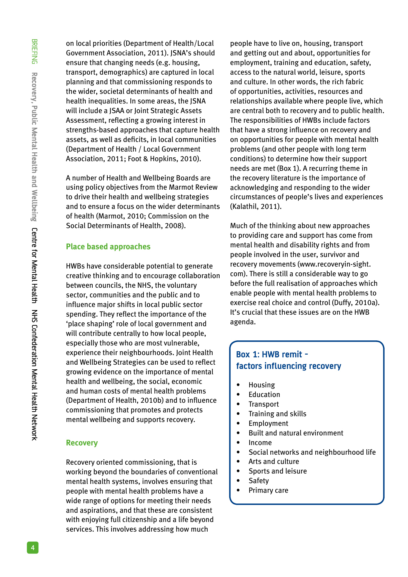BRIEFING Recovery, Public Mental Health and Wellbeing Centre for Mental Health NHS Confederation Mental Health Network **Recovery, Public Mental Health and Wellbeing** Centre for Mental Health NHS Confederation Mental Health Network

on local priorities (Department of Health/Local Government Association, 2011). JSNA's should ensure that changing needs (e.g. housing, transport, demographics) are captured in local planning and that commissioning responds to the wider, societal determinants of health and health inequalities. In some areas, the JSNA will include a JSAA or Joint Strategic Assets Assessment, reflecting a growing interest in strengths-based approaches that capture health assets, as well as deficits, in local communities (Department of Health / Local Government Association, 2011; Foot & Hopkins, 2010).

A number of Health and Wellbeing Boards are using policy objectives from the Marmot Review to drive their health and wellbeing strategies and to ensure a focus on the wider determinants of health (Marmot, 2010; Commission on the Social Determinants of Health, 2008).

#### **Place based approaches**

HWBs have considerable potential to generate creative thinking and to encourage collaboration between councils, the NHS, the voluntary sector, communities and the public and to influence major shifts in local public sector spending. They reflect the importance of the 'place shaping' role of local government and will contribute centrally to how local people, especially those who are most vulnerable, experience their neighbourhoods. Joint Health and Wellbeing Strategies can be used to reflect growing evidence on the importance of mental health and wellbeing, the social, economic and human costs of mental health problems (Department of Health, 2010b) and to influence commissioning that promotes and protects mental wellbeing and supports recovery.

#### **Recovery**

Recovery oriented commissioning, that is working beyond the boundaries of conventional mental health systems, involves ensuring that people with mental health problems have a wide range of options for meeting their needs and aspirations, and that these are consistent with enjoying full citizenship and a life beyond services. This involves addressing how much

people have to live on, housing, transport and getting out and about, opportunities for employment, training and education, safety, access to the natural world, leisure, sports and culture. In other words, the rich fabric of opportunities, activities, resources and relationships available where people live, which are central both to recovery and to public health. The responsibilities of HWBs include factors that have a strong influence on recovery and on opportunities for people with mental health problems (and other people with long term conditions) to determine how their support needs are met (Box 1). A recurring theme in the recovery literature is the importance of acknowledging and responding to the wider circumstances of people's lives and experiences (Kalathil, 2011).

Much of the thinking about new approaches to providing care and support has come from mental health and disability rights and from people involved in the user, survivor and recovery movements (www.recoveryin-sight. com). There is still a considerable way to go before the full realisation of approaches which enable people with mental health problems to exercise real choice and control (Duffy, 2010a). It's crucial that these issues are on the HWB agenda.

## **Box 1: HWB remit factors influencing recovery**

- Housing
- Education
- Transport
- Training and skills
- Employment
- Built and natural environment
- Income
- Social networks and neighbourhood life
- Arts and culture
- Sports and leisure
- Safety
- Primary care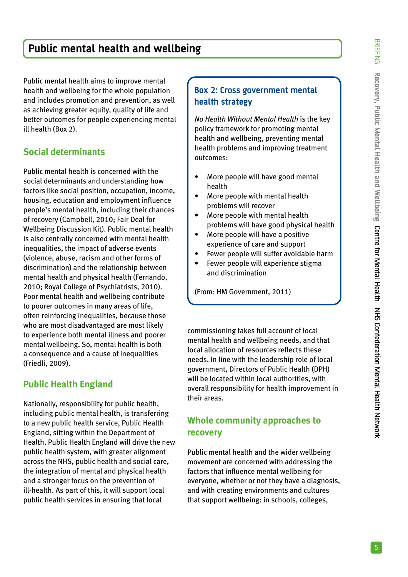# **Public mental health and wellbeing**

Public mental health aims to improve mental health and wellbeing for the whole population and includes promotion and prevention, as well as achieving greater equity, quality of life and better outcomes for people experiencing mental ill health (Box 2).

## **Social determinants**

Public mental health is concerned with the social determinants and understanding how factors like social position, occupation, income, housing, education and employment influence people's mental health, including their chances of recovery (Campbell, 2010; Fair Deal for Wellbeing Discussion Kit). Public mental health is also centrally concerned with mental health inequalities, the impact of adverse events (violence, abuse, racism and other forms of discrimination) and the relationship between mental health and physical health (Fernando, 2010; Royal College of Psychiatrists, 2010). Poor mental health and wellbeing contribute to poorer outcomes in many areas of life, often reinforcing inequalities, because those who are most disadvantaged are most likely to experience both mental illness and poorer mental wellbeing. So, mental health is both a consequence and a cause of inequalities (Friedli, 2009).

## **Public Health England**

Nationally, responsibility for public health, including public mental health, is transferring to a new public health service, Public Health England, sitting within the Department of Health. Public Health England will drive the new public health system, with greater alignment across the NHS, public health and social care, the integration of mental and physical health and a stronger focus on the prevention of ill-health. As part of this, it will support local public health services in ensuring that local

## **Box 2: Cross government mental health strategy**

*No Health Without Mental Health* is the key policy framework for promoting mental health and wellbeing, preventing mental health problems and improving treatment outcomes:

- More people will have good mental health
- More people with mental health problems will recover
- More people with mental health problems will have good physical health
- More people will have a positive experience of care and support
- Fewer people will suffer avoidable harm
- Fewer people will experience stigma and discrimination

(From: HM Government, 2011)

commissioning takes full account of local mental health and wellbeing needs, and that local allocation of resources reflects these needs. In line with the leadership role of local government, Directors of Public Health (DPH) will be located within local authorities, with overall responsibility for health improvement in their areas.

## **Whole community approaches to recovery**

Public mental health and the wider wellbeing movement are concerned with addressing the factors that influence mental wellbeing for everyone, whether or not they have a diagnosis, and with creating environments and cultures that support wellbeing: in schools, colleges,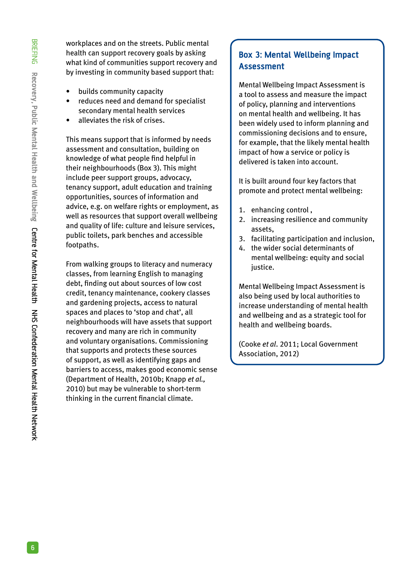workplaces and on the streets. Public mental health can support recovery goals by asking what kind of communities support recovery and by investing in community based support that:

- builds community capacity
- reduces need and demand for specialist secondary mental health services
- alleviates the risk of crises.

This means support that is informed by needs assessment and consultation, building on knowledge of what people find helpful in their neighbourhoods (Box 3). This might include peer support groups, advocacy, tenancy support, adult education and training opportunities, sources of information and advice, e.g. on welfare rights or employment, as well as resources that support overall wellbeing and quality of life: culture and leisure services, public toilets, park benches and accessible footpaths.

From walking groups to literacy and numeracy classes, from learning English to managing debt, finding out about sources of low cost credit, tenancy maintenance, cookery classes and gardening projects, access to natural spaces and places to 'stop and chat', all neighbourhoods will have assets that support recovery and many are rich in community and voluntary organisations. Commissioning that supports and protects these sources of support, as well as identifying gaps and barriers to access, makes good economic sense (Department of Health, 2010b; Knapp *et al.,*  2010) but may be vulnerable to short-term thinking in the current financial climate.

## **Box 3: Mental Wellbeing Impact Assessment**

Mental Wellbeing Impact Assessment is a tool to assess and measure the impact of policy, planning and interventions on mental health and wellbeing. It has been widely used to inform planning and commissioning decisions and to ensure, for example, that the likely mental health impact of how a service or policy is delivered is taken into account.

It is built around four key factors that promote and protect mental wellbeing:

- 1. enhancing control ,
- 2. increasing resilience and community assets,
- 3. facilitating participation and inclusion,
- 4. the wider social determinants of mental wellbeing: equity and social justice.

Mental Wellbeing Impact Assessment is also being used by local authorities to increase understanding of mental health and wellbeing and as a strategic tool for health and wellbeing boards.

(Cooke *et al*. 2011; Local Government Association, 2012)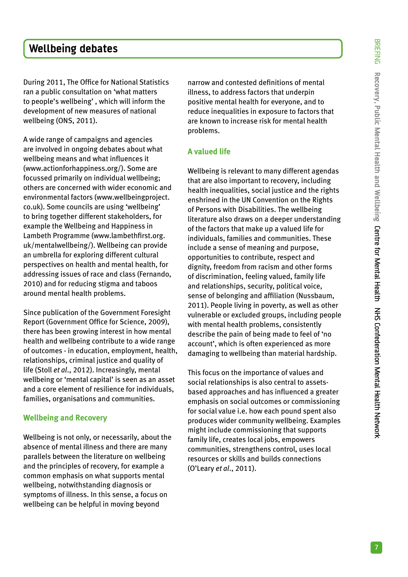# **Wellbeing debates**

During 2011, The Office for National Statistics ran a public consultation on 'what matters to people's wellbeing' , which will inform the development of new measures of national wellbeing (ONS, 2011).

A wide range of campaigns and agencies are involved in ongoing debates about what wellbeing means and what influences it (www.actionforhappiness.org/). Some are focussed primarily on individual wellbeing; others are concerned with wider economic and environmental factors (www.wellbeingproject. co.uk). Some councils are using 'wellbeing' to bring together different stakeholders, for example the Wellbeing and Happiness in Lambeth Programme (www.lambethfirst.org. uk/mentalwellbeing/). Wellbeing can provide an umbrella for exploring different cultural perspectives on health and mental health, for addressing issues of race and class (Fernando, 2010) and for reducing stigma and taboos around mental health problems.

Since publication of the Government Foresight Report (Government Office for Science, 2009), there has been growing interest in how mental health and wellbeing contribute to a wide range of outcomes - in education, employment, health, relationships, criminal justice and quality of life (Stoll *et al*., 2012). Increasingly, mental wellbeing or 'mental capital' is seen as an asset and a core element of resilience for individuals, families, organisations and communities.

#### **Wellbeing and Recovery**

Wellbeing is not only, or necessarily, about the absence of mental illness and there are many parallels between the literature on wellbeing and the principles of recovery, for example a common emphasis on what supports mental wellbeing, notwithstanding diagnosis or symptoms of illness. In this sense, a focus on wellbeing can be helpful in moving beyond

narrow and contested definitions of mental illness, to address factors that underpin positive mental health for everyone, and to reduce inequalities in exposure to factors that are known to increase risk for mental health problems.

#### **A valued life**

Wellbeing is relevant to many different agendas that are also important to recovery, including health inequalities, social justice and the rights enshrined in the UN Convention on the Rights of Persons with Disabilities. The wellbeing literature also draws on a deeper understanding of the factors that make up a valued life for individuals, families and communities. These include a sense of meaning and purpose, opportunities to contribute, respect and dignity, freedom from racism and other forms of discrimination, feeling valued, family life and relationships, security, political voice, sense of belonging and affiliation (Nussbaum, 2011). People living in poverty, as well as other vulnerable or excluded groups, including people with mental health problems, consistently describe the pain of being made to feel of 'no account', which is often experienced as more damaging to wellbeing than material hardship.

This focus on the importance of values and social relationships is also central to assetsbased approaches and has influenced a greater emphasis on social outcomes or commissioning for social value i.e. how each pound spent also produces wider community wellbeing. Examples might include commissioning that supports family life, creates local jobs, empowers communities, strengthens control, uses local resources or skills and builds connections (O'Leary *et al*., 2011).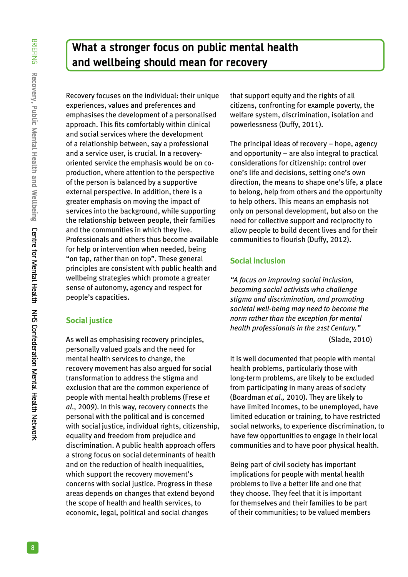# **What a stronger focus on public mental health and wellbeing should mean for recovery**

Recovery focuses on the individual: their unique experiences, values and preferences and emphasises the development of a personalised approach. This fits comfortably within clinical and social services where the development of a relationship between, say a professional and a service user, is crucial. In a recoveryoriented service the emphasis would be on coproduction, where attention to the perspective of the person is balanced by a supportive external perspective. In addition, there is a greater emphasis on moving the impact of services into the background, while supporting the relationship between people, their families and the communities in which they live. Professionals and others thus become available for help or intervention when needed, being "on tap, rather than on top". These general principles are consistent with public health and wellbeing strategies which promote a greater sense of autonomy, agency and respect for people's capacities.

#### **Social justice**

As well as emphasising recovery principles, personally valued goals and the need for mental health services to change, the recovery movement has also argued for social transformation to address the stigma and exclusion that are the common experience of people with mental health problems (Frese *et al*., 2009). In this way, recovery connects the personal with the political and is concerned with social justice, individual rights, citizenship, equality and freedom from prejudice and discrimination. A public health approach offers a strong focus on social determinants of health and on the reduction of health inequalities, which support the recovery movement's concerns with social justice. Progress in these areas depends on changes that extend beyond the scope of health and health services, to economic, legal, political and social changes

that support equity and the rights of all citizens, confronting for example poverty, the welfare system, discrimination, isolation and powerlessness (Duffy, 2011).

The principal ideas of recovery – hope, agency and opportunity – are also integral to practical considerations for citizenship: control over one's life and decisions, setting one's own direction, the means to shape one's life, a place to belong, help from others and the opportunity to help others. This means an emphasis not only on personal development, but also on the need for collective support and reciprocity to allow people to build decent lives and for their communities to flourish (Duffy, 2012).

#### **Social inclusion**

*"A focus on improving social inclusion, becoming social activists who challenge stigma and discrimination, and promoting societal well-being may need to become the norm rather than the exception for mental health professionals in the 21st Century."* (Slade, 2010)

It is well documented that people with mental health problems, particularly those with long-term problems, are likely to be excluded from participating in many areas of society (Boardman *et al.,* 2010). They are likely to have limited incomes, to be unemployed, have limited education or training, to have restricted social networks, to experience discrimination, to have few opportunities to engage in their local communities and to have poor physical health.

Being part of civil society has important implications for people with mental health problems to live a better life and one that they choose. They feel that it is important for themselves and their families to be part of their communities; to be valued members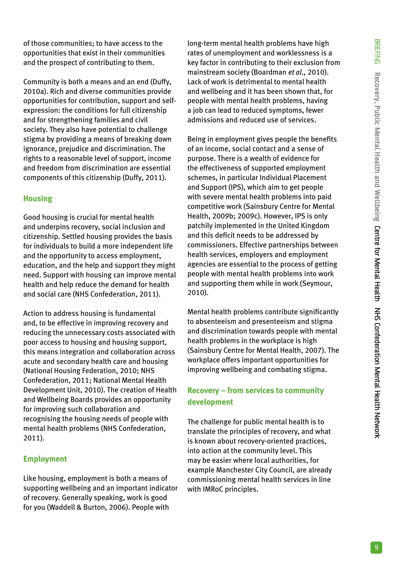of those communities; to have access to the opportunities that exist in their communities and the prospect of contributing to them.

Community is both a means and an end (Duffy, 2010a). Rich and diverse communities provide opportunities for contribution, support and selfexpression: the conditions for full citizenship and for strengthening families and civil society. They also have potential to challenge stigma by providing a means of breaking down ignorance, prejudice and discrimination. The rights to a reasonable level of support, income and freedom from discrimination are essential components of this citizenship (Duffy, 2011).

#### **Housing**

Good housing is crucial for mental health and underpins recovery, social inclusion and citizenship. Settled housing provides the basis for individuals to build a more independent life and the opportunity to access employment, education, and the help and support they might need. Support with housing can improve mental health and help reduce the demand for health and social care (NHS Confederation, 2011).

Action to address housing is fundamental and, to be effective in improving recovery and reducing the unnecessary costs associated with poor access to housing and housing support, this means integration and collaboration across acute and secondary health care and housing (National Housing Federation, 2010; NHS Confederation, 2011; National Mental Health Development Unit, 2010). The creation of Health and Wellbeing Boards provides an opportunity for improving such collaboration and recognising the housing needs of people with mental health problems (NHS Confederation, 2011).

#### **Employment**

Like housing, employment is both a means of supporting wellbeing and an important indicator of recovery. Generally speaking, work is good for you (Waddell & Burton, 2006). People with

long-term mental health problems have high rates of unemployment and worklessness is a key factor in contributing to their exclusion from mainstream society (Boardman *et al.,* 2010). Lack of work is detrimental to mental health and wellbeing and it has been shown that, for people with mental health problems, having a job can lead to reduced symptoms, fewer admissions and reduced use of services.

Being in employment gives people the benefits of an income, social contact and a sense of purpose. There is a wealth of evidence for the effectiveness of supported employment schemes, in particular Individual Placement and Support (IPS), which aim to get people with severe mental health problems into paid competitive work (Sainsbury Centre for Mental Health, 2009b; 2009c). However, IPS is only patchily implemented in the United Kingdom and this deficit needs to be addressed by commissioners. Effective partnerships between health services, employers and employment agencies are essential to the process of getting people with mental health problems into work and supporting them while in work (Seymour, 2010).

Mental health problems contribute significantly to absenteeism and presenteeism and stigma and discrimination towards people with mental health problems in the workplace is high (Sainsbury Centre for Mental Health, 2007). The workplace offers important opportunities for improving wellbeing and combating stigma.

## **Recovery – from services to community development**

The challenge for public mental health is to translate the principles of recovery, and what is known about recovery-oriented practices, into action at the community level. This may be easier where local authorities, for example Manchester City Council, are already commissioning mental health services in line with IMRoC principles.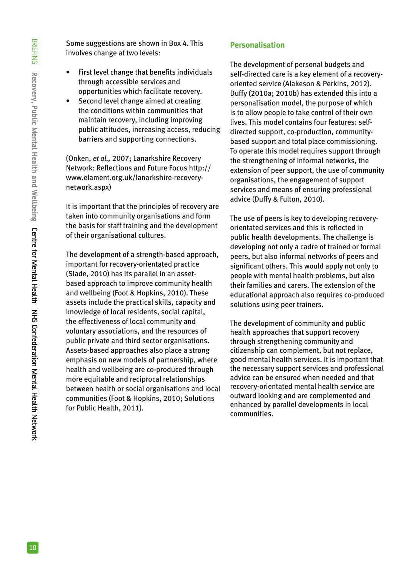Some suggestions are shown in Box 4. This involves change at two levels:

- First level change that benefits individuals through accessible services and opportunities which facilitate recovery.
- Second level change aimed at creating the conditions within communities that maintain recovery, including improving public attitudes, increasing access, reducing barriers and supporting connections.

(Onken, *et al.,* 2007; Lanarkshire Recovery Network: Reflections and Future Focus http:// www.elament.org.uk/lanarkshire-recoverynetwork.aspx)

It is important that the principles of recovery are taken into community organisations and form the basis for staff training and the development of their organisational cultures.

The development of a strength-based approach, important for recovery-orientated practice (Slade, 2010) has its parallel in an assetbased approach to improve community health and wellbeing (Foot & Hopkins, 2010). These assets include the practical skills, capacity and knowledge of local residents, social capital, the effectiveness of local community and voluntary associations, and the resources of public private and third sector organisations. Assets-based approaches also place a strong emphasis on new models of partnership, where health and wellbeing are co-produced through more equitable and reciprocal relationships between health or social organisations and local communities (Foot & Hopkins, 2010; Solutions for Public Health, 2011).

#### **Personalisation**

The development of personal budgets and self-directed care is a key element of a recoveryoriented service (Alakeson & Perkins, 2012). Duffy (2010a; 2010b) has extended this into a personalisation model, the purpose of which is to allow people to take control of their own lives. This model contains four features: selfdirected support, co-production, communitybased support and total place commissioning. To operate this model requires support through the strengthening of informal networks, the extension of peer support, the use of community organisations, the engagement of support services and means of ensuring professional advice (Duffy & Fulton, 2010).

The use of peers is key to developing recoveryorientated services and this is reflected in public health developments. The challenge is developing not only a cadre of trained or formal peers, but also informal networks of peers and significant others. This would apply not only to people with mental health problems, but also their families and carers. The extension of the educational approach also requires co-produced solutions using peer trainers.

The development of community and public health approaches that support recovery through strengthening community and citizenship can complement, but not replace, good mental health services. It is important that the necessary support services and professional advice can be ensured when needed and that recovery-orientated mental health service are outward looking and are complemented and enhanced by parallel developments in local communities.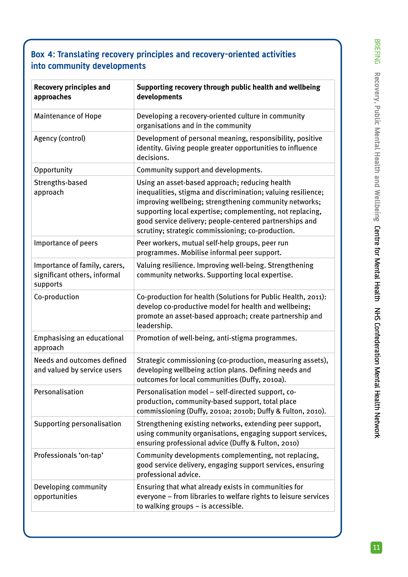## **Box 4: Translating recovery principles and recovery-oriented activities into community developments**

| <b>Recovery principles and</b><br>approaches                              | Supporting recovery through public health and wellbeing<br>developments                                                                                                                                                                                                                                                                               |
|---------------------------------------------------------------------------|-------------------------------------------------------------------------------------------------------------------------------------------------------------------------------------------------------------------------------------------------------------------------------------------------------------------------------------------------------|
| <b>Maintenance of Hope</b>                                                | Developing a recovery-oriented culture in community<br>organisations and in the community                                                                                                                                                                                                                                                             |
| Agency (control)                                                          | Development of personal meaning, responsibility, positive<br>identity. Giving people greater opportunities to influence<br>decisions.                                                                                                                                                                                                                 |
| Opportunity                                                               | Community support and developments.                                                                                                                                                                                                                                                                                                                   |
| Strengths-based<br>approach                                               | Using an asset-based approach; reducing health<br>inequalities, stigma and discrimination; valuing resilience;<br>improving wellbeing; strengthening community networks;<br>supporting local expertise; complementing, not replacing,<br>good service delivery; people-centered partnerships and<br>scrutiny; strategic commissioning; co-production. |
| Importance of peers                                                       | Peer workers, mutual self-help groups, peer run<br>programmes. Mobilise informal peer support.                                                                                                                                                                                                                                                        |
| Importance of family, carers,<br>significant others, informal<br>supports | Valuing resilience. Improving well-being. Strengthening<br>community networks. Supporting local expertise.                                                                                                                                                                                                                                            |
| Co-production                                                             | Co-production for health (Solutions for Public Health, 2011):<br>develop co-productive model for health and wellbeing;<br>promote an asset-based approach; create partnership and<br>leadership.                                                                                                                                                      |
| <b>Emphasising an educational</b><br>approach                             | Promotion of well-being, anti-stigma programmes.                                                                                                                                                                                                                                                                                                      |
| Needs and outcomes defined<br>and valued by service users                 | Strategic commissioning (co-production, measuring assets),<br>developing wellbeing action plans. Defining needs and<br>outcomes for local communities (Duffy, 2010a).                                                                                                                                                                                 |
| Personalisation                                                           | Personalisation model - self-directed support, co-<br>production, community-based support, total place<br>commissioning (Duffy, 2010a; 2010b; Duffy & Fulton, 2010).                                                                                                                                                                                  |
| Supporting personalisation                                                | Strengthening existing networks, extending peer support,<br>using community organisations, engaging support services,<br>ensuring professional advice (Duffy & Fulton, 2010)                                                                                                                                                                          |
| Professionals 'on-tap'                                                    | Community developments complementing, not replacing,<br>good service delivery, engaging support services, ensuring<br>professional advice.                                                                                                                                                                                                            |
| Developing community<br>opportunities                                     | Ensuring that what already exists in communities for<br>everyone - from libraries to welfare rights to leisure services<br>to walking groups - is accessible.                                                                                                                                                                                         |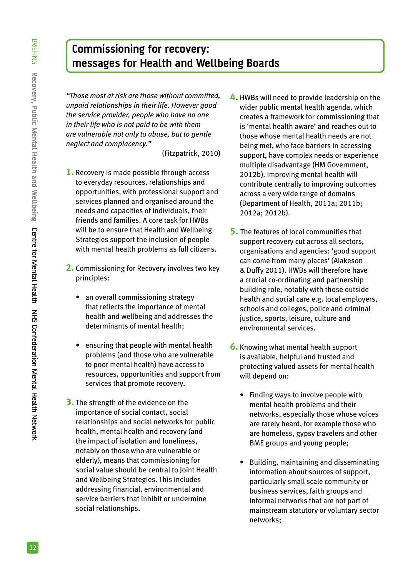# **Commissioning for recovery: messages for Health and Wellbeing Boards**

*"Those most at risk are those without committed, unpaid relationships in their life. However good the service provider, people who have no one in their life who is not paid to be with them are vulnerable not only to abuse, but to gentle neglect and complacency."*

(Fitzpatrick, 2010)

- **1.** Recovery is made possible through access to everyday resources, relationships and opportunities, with professional support and services planned and organised around the needs and capacities of individuals, their friends and families. A core task for HWBs will be to ensure that Health and Wellbeing Strategies support the inclusion of people with mental health problems as full citizens.
- **2.** Commissioning for Recovery involves two key principles:
	- an overall commissioning strategy that reflects the importance of mental health and wellbeing and addresses the determinants of mental health;
	- ensuring that people with mental health problems (and those who are vulnerable to poor mental health) have access to resources, opportunities and support from services that promote recovery.
- **3.** The strength of the evidence on the importance of social contact, social relationships and social networks for public health, mental health and recovery (and the impact of isolation and loneliness, notably on those who are vulnerable or elderly), means that commissioning for social value should be central to Joint Health and Wellbeing Strategies. This includes addressing financial, environmental and service barriers that inhibit or undermine social relationships.
- **4.** HWBs will need to provide leadership on the wider public mental health agenda, which creates a framework for commissioning that is 'mental health aware' and reaches out to those whose mental health needs are not being met, who face barriers in accessing support, have complex needs or experience multiple disadvantage (HM Government, 2012b). Improving mental health will contribute centrally to improving outcomes across a very wide range of domains (Department of Health, 2011a; 2011b; 2012a; 2012b).
- **5.** The features of local communities that support recovery cut across all sectors, organisations and agencies: 'good support can come from many places' (Alakeson & Duffy 2011). HWBs will therefore have a crucial co-ordinating and partnership building role, notably with those outside health and social care e.g. local employers, schools and colleges, police and criminal justice, sports, leisure, culture and environmental services.
- **6.** Knowing what mental health support is available, helpful and trusted and protecting valued assets for mental health will depend on:
	- Finding ways to involve people with mental health problems and their networks, especially those whose voices are rarely heard, for example those who are homeless, gypsy travelers and other BME groups and young people;
	- Building, maintaining and disseminating information about sources of support, particularly small scale community or business services, faith groups and informal networks that are not part of mainstream statutory or voluntary sector networks;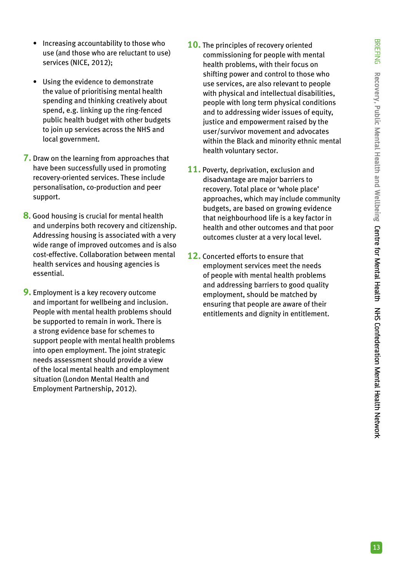- Increasing accountability to those who use (and those who are reluctant to use) services (NICE, 2012);
- Using the evidence to demonstrate the value of prioritising mental health spending and thinking creatively about spend, e.g. linking up the ring-fenced public health budget with other budgets to join up services across the NHS and local government.
- **7.** Draw on the learning from approaches that have been successfully used in promoting recovery-oriented services. These include personalisation, co-production and peer support.
- **8**. Good housing is crucial for mental health and underpins both recovery and citizenship. Addressing housing is associated with a very wide range of improved outcomes and is also cost-effective. Collaboration between mental health services and housing agencies is essential.
- **9.** Employment is a key recovery outcome and important for wellbeing and inclusion. People with mental health problems should be supported to remain in work. There is a strong evidence base for schemes to support people with mental health problems into open employment. The joint strategic needs assessment should provide a view of the local mental health and employment situation (London Mental Health and Employment Partnership, 2012).
- **10.** The principles of recovery oriented commissioning for people with mental health problems, with their focus on shifting power and control to those who use services, are also relevant to people with physical and intellectual disabilities, people with long term physical conditions and to addressing wider issues of equity, justice and empowerment raised by the user/survivor movement and advocates within the Black and minority ethnic mental health voluntary sector.
- **11.** Poverty, deprivation, exclusion and disadvantage are major barriers to recovery. Total place or 'whole place' approaches, which may include community budgets, are based on growing evidence that neighbourhood life is a key factor in health and other outcomes and that poor outcomes cluster at a very local level.
- **12.** Concerted efforts to ensure that employment services meet the needs of people with mental health problems and addressing barriers to good quality employment, should be matched by ensuring that people are aware of their entitlements and dignity in entitlement.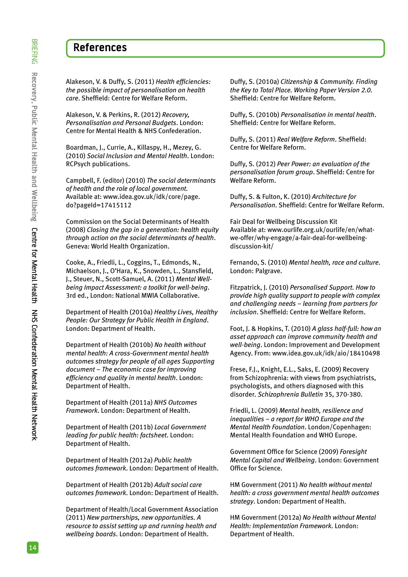## **References**

Alakeson, V. & Duffy, S. (2011) *Health efficiencies: the possible impact of personalisation on health care*. Sheffield: Centre for Welfare Reform.

Alakeson, V. & Perkins, R. (2012) *Recovery, Personalisation and Personal Budgets*. London: Centre for Mental Health & NHS Confederation.

Boardman, J., Currie, A., Killaspy, H., Mezey, G. (2010) *Social Inclusion and Mental Health*. London: RCPsych publications.

Campbell, F. (editor) (2010) *The social determinants of health and the role of local government.* Available at: www.idea.gov.uk/idk/core/page. do?pageId=17415112

Commission on the Social Determinants of Health (2008) *Closing the gap in a generation: health equity through action on the social determinants of health*. Geneva: World Health Organization.

Cooke, A., Friedli, L., Coggins, T., Edmonds, N., Michaelson, J., O'Hara, K., Snowden, L., Stansfield, J., Steuer, N., Scott-Samuel, A. (2011) *Mental Wellbeing Impact Assessment: a toolkit for well-being*. 3rd ed., London: National MWIA Collaborative.

Department of Health (2010a) *Healthy Lives, Healthy People: Our Strategy for Public Health in England*. London: Department of Health.

Department of Health (2010b) *No health without mental health: A cross-Government mental health outcomes strategy for people of all ages Supporting document – The economic case for improving efficiency and quality in mental health*. London: Department of Health.

Department of Health (2011a) *NHS Outcomes Framework*. London: Department of Health.

Department of Health (2011b) *Local Government leading for public health: factsheet*. London: Department of Health.

Department of Health (2012a) *Public health outcomes framework*. London: Department of Health.

Department of Health (2012b) *Adult social care outcomes framework*. London: Department of Health.

Department of Health/Local Government Association (2011) *New partnerships, new opportunities. A resource to assist setting up and running health and wellbeing boards*. London: Department of Health.

Duffy, S. (2010a) *Citizenship & Community. Finding the Key to Total Place. Working Paper Version 2.0.*  Sheffield: Centre for Welfare Reform.

Duffy, S. (2010b) *Personalisation in mental health*. Sheffield: Centre for Welfare Reform.

Duffy, S. (2011) *Real Welfare Reform*. Sheffield: Centre for Welfare Reform.

Duffy, S. (2012) *Peer Power: an evaluation of the personalisation forum group*. Sheffield: Centre for Welfare Reform.

Duffy, S. & Fulton, K. (2010) *Architecture for Personalisation*. Sheffield: Centre for Welfare Reform.

Fair Deal for Wellbeing Discussion Kit Available at: www.ourlife.org.uk/ourlife/en/whatwe-offer/why-engage/a-fair-deal-for-wellbeingdiscussion-kit/

Fernando, S. (2010) *Mental health, race and culture*. London: Palgrave.

Fitzpatrick, J. (2010) *Personalised Support. How to provide high quality support to people with complex and challenging needs – learning from partners for inclusion*. Sheffield: Centre for Welfare Reform.

Foot, J. & Hopkins, T. (2010) *A glass half-full: how an asset approach can improve community health and well-being*. London: Improvement and Development Agency. From: www.idea.gov.uk/idk/aio/18410498

Frese, F.J., Knight, E.L., Saks, E. (2009) Recovery from Schizophrenia: with views from psychiatrists, psychologists, and others diagnosed with this disorder. *Schizophrenia Bulletin* 35, 370-380.

Friedli, L. (2009) *Mental health, resilience and inequalities – a report for WHO Europe and the Mental Health Foundation*. London/Copenhagen: Mental Health Foundation and WHO Europe.

Government Office for Science (2009) *Foresight Mental Capital and Wellbeing*. London: Government Office for Science.

HM Government (2011) *No health without mental health: a cross government mental health outcomes strategy*. London: Department of Health.

HM Government (2012a) *No Health without Mental Health: Implementation Framework*. London: Department of Health.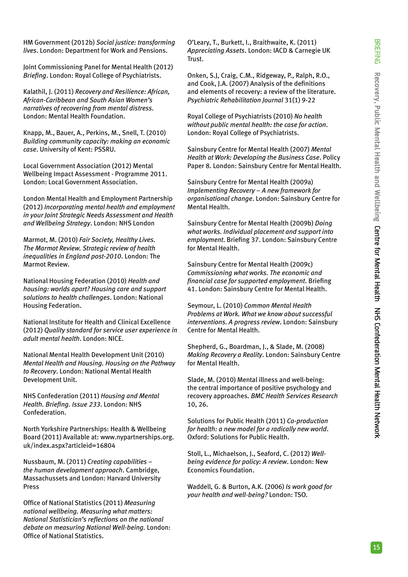HM Government (2012b) *Social justice: transforming lives*. London: Department for Work and Pensions.

Joint Commissioning Panel for Mental Health (2012) *Briefing*. London: Royal College of Psychiatrists.

Kalathil, J. (2011) *Recovery and Resilience: African, African-Caribbean and South Asian Women's narratives of recovering from mental distress*. London: Mental Health Foundation.

Knapp, M., Bauer, A., Perkins, M., Snell, T. (2010) *Building community capacity: making an economic case*. University of Kent: PSSRU.

Local Government Association (2012) Mental Wellbeing Impact Assessment - Programme 2011. London: Local Government Association.

London Mental Health and Employment Partnership (2012) *Incorporating mental health and employment in your Joint Strategic Needs Assessment and Health and Wellbeing Strategy*. London: NHS London

Marmot, M. (2010) *Fair Society, Healthy Lives. The Marmot Review. Strategic review of health inequalities in England post-2010*. London: The Marmot Review.

National Housing Federation (2010) *Health and housing: worlds apart? Housing care and support solutions to health challenges*. London: National Housing Federation.

National Institute for Health and Clinical Excellence (2012) *Quality standard for service user experience in adult mental health*. London: NICE.

National Mental Health Development Unit (2010) *Mental Health and Housing. Housing on the Pathway to Recovery*. London: National Mental Health Development Unit.

NHS Confederation (2011) *Housing and Mental Health. Briefing. Issue 233*. London: NHS Confederation.

North Yorkshire Partnerships: Health & Wellbeing Board (2011) Available at: www.nypartnerships.org. uk/index.aspx?articleid=16804

Nussbaum, M. (2011) *Creating capabilities – the human development approach*. Cambridge, Massachussets and London: Harvard University Press

Office of National Statistics (2011) *Measuring national wellbeing. Measuring what matters: National Statistician's reflections on the national debate on measuring National Well-being.* London: Office of National Statistics.

O'Leary, T., Burkett, I., Braithwaite, K. (2011) *Appreciating Assets*. London: IACD & Carnegie UK Trust.

Onken, S.J, Craig, C.M., Ridgeway, P., Ralph, R.O., and Cook, J.A. (2007) Analysis of the definitions and elements of recovery: a review of the literature. *Psychiatric Rehabilitation Journal* 31(1) 9-22

Royal College of Psychiatrists (2010) *No health without public mental health: the case for action*. London: Royal College of Psychiatrists.

Sainsbury Centre for Mental Health (2007) *Mental Health at Work: Developing the Business Case*. Policy Paper 8. London: Sainsbury Centre for Mental Health.

Sainsbury Centre for Mental Health (2009a) *Implementing Recovery – A new framework for organisational change*. London: Sainsbury Centre for Mental Health.

Sainsbury Centre for Mental Health (2009b) *Doing what works. Individual placement and support into employment*. Briefing 37. London: Sainsbury Centre for Mental Health.

Sainsbury Centre for Mental Health (2009c) *Commissioning what works. The economic and financial case for supported employment*. Briefing 41. London: Sainsbury Centre for Mental Health.

Seymour, L. (2010) *Common Mental Health Problems at Work. What we know about successful interventions. A progress review*. London: Sainsbury Centre for Mental Health.

Shepherd, G., Boardman, J., & Slade, M. (2008) *Making Recovery a Reality*. London: Sainsbury Centre for Mental Health.

Slade, M. (2010) Mental illness and well-being: the central importance of positive psychology and recovery approaches. *BMC Health Services Research*  10, 26.

Solutions for Public Health (2011) *Co-production for health: a new model for a radically new world*. Oxford: Solutions for Public Health.

Stoll, L., Michaelson, J., Seaford, C. (2012) *Wellbeing evidence for policy: A review*. London: New Economics Foundation.

Waddell, G. & Burton, A.K. (2006) *Is work good for your health and well-being?* London: TSO.